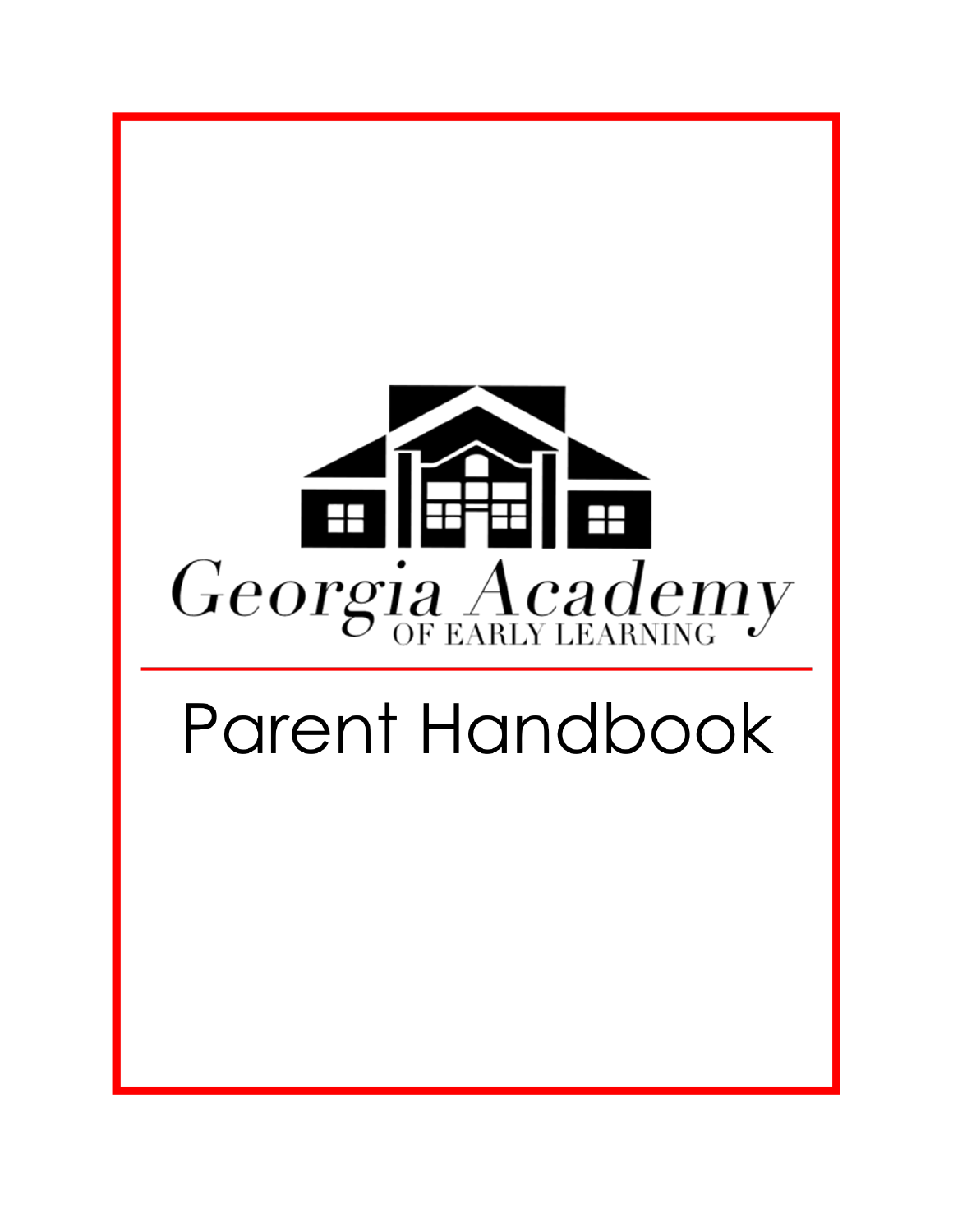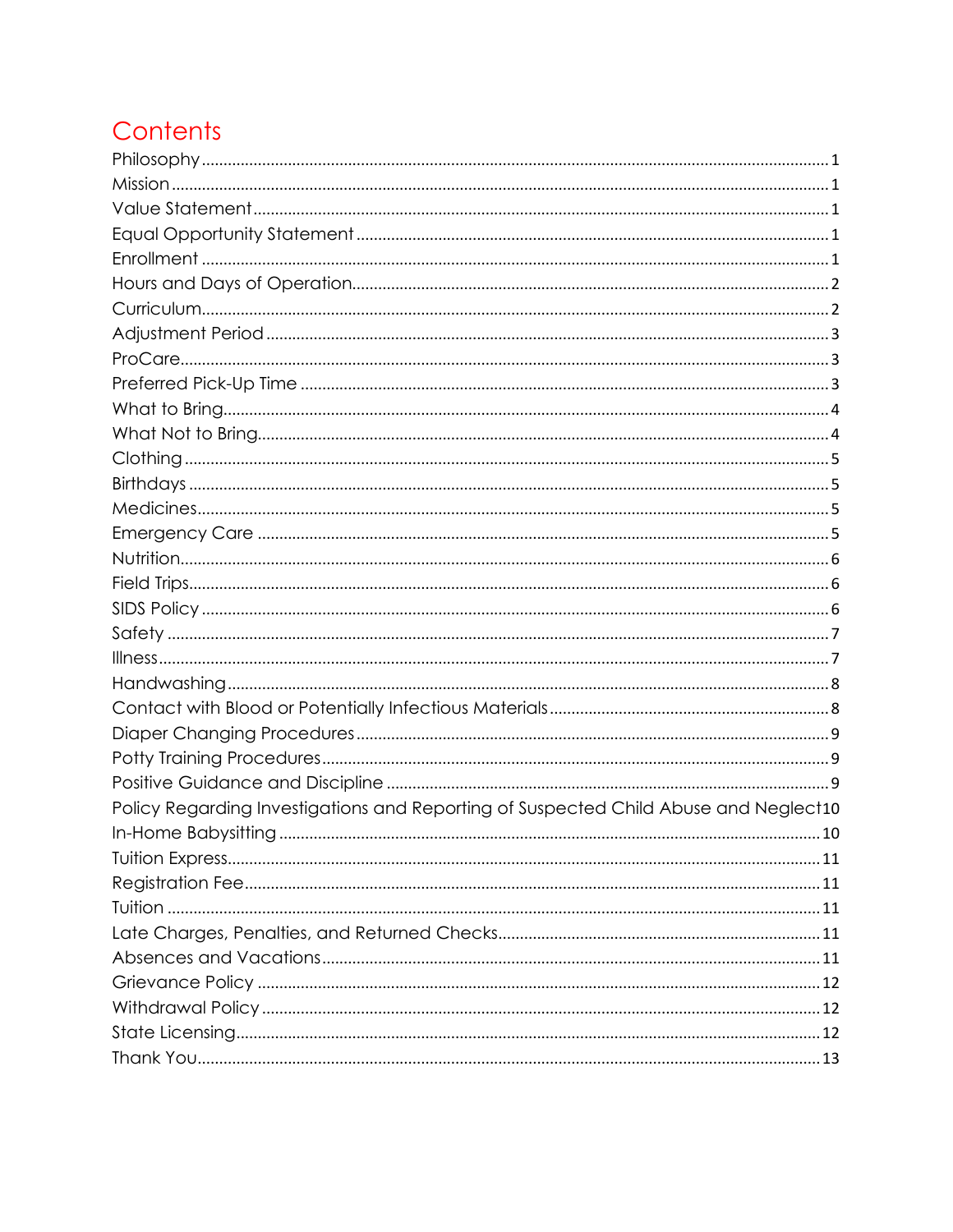# Contents

| Policy Regarding Investigations and Reporting of Suspected Child Abuse and Neglect10 |
|--------------------------------------------------------------------------------------|
|                                                                                      |
|                                                                                      |
|                                                                                      |
|                                                                                      |
|                                                                                      |
|                                                                                      |
|                                                                                      |
|                                                                                      |
|                                                                                      |
|                                                                                      |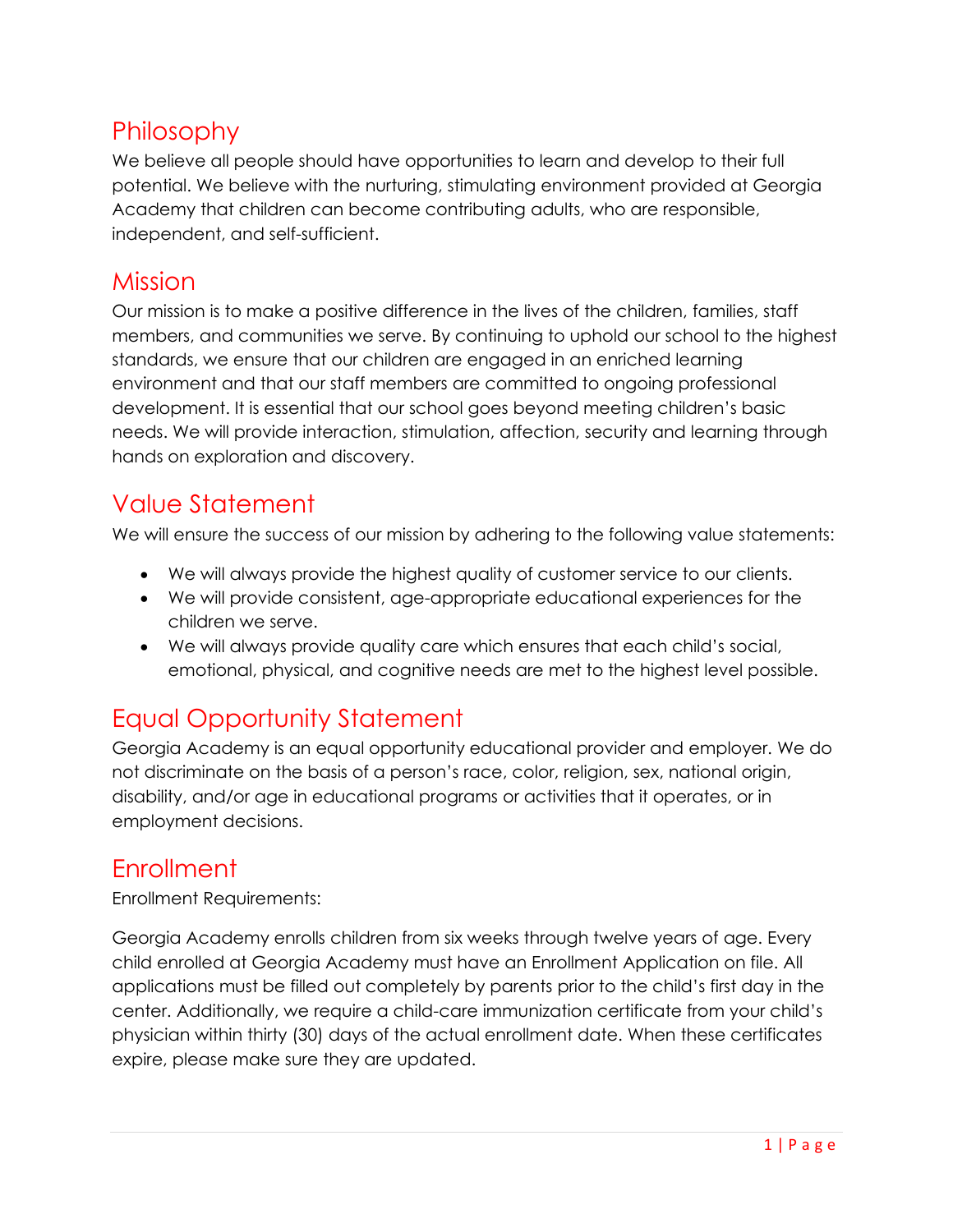### <span id="page-2-0"></span>Philosophy

We believe all people should have opportunities to learn and develop to their full potential. We believe with the nurturing, stimulating environment provided at Georgia Academy that children can become contributing adults, who are responsible, independent, and self-sufficient.

#### <span id="page-2-1"></span>Mission

Our mission is to make a positive difference in the lives of the children, families, staff members, and communities we serve. By continuing to uphold our school to the highest standards, we ensure that our children are engaged in an enriched learning environment and that our staff members are committed to ongoing professional development. It is essential that our school goes beyond meeting children's basic needs. We will provide interaction, stimulation, affection, security and learning through hands on exploration and discovery.

### <span id="page-2-2"></span>Value Statement

We will ensure the success of our mission by adhering to the following value statements:

- We will always provide the highest quality of customer service to our clients.
- We will provide consistent, age-appropriate educational experiences for the children we serve.
- We will always provide quality care which ensures that each child's social, emotional, physical, and cognitive needs are met to the highest level possible.

### <span id="page-2-3"></span>Equal Opportunity Statement

Georgia Academy is an equal opportunity educational provider and employer. We do not discriminate on the basis of a person's race, color, religion, sex, national origin, disability, and/or age in educational programs or activities that it operates, or in employment decisions.

### <span id="page-2-4"></span>**Enrollment**

Enrollment Requirements:

Georgia Academy enrolls children from six weeks through twelve years of age. Every child enrolled at Georgia Academy must have an Enrollment Application on file. All applications must be filled out completely by parents prior to the child's first day in the center. Additionally, we require a child-care immunization certificate from your child's physician within thirty (30) days of the actual enrollment date. When these certificates expire, please make sure they are updated.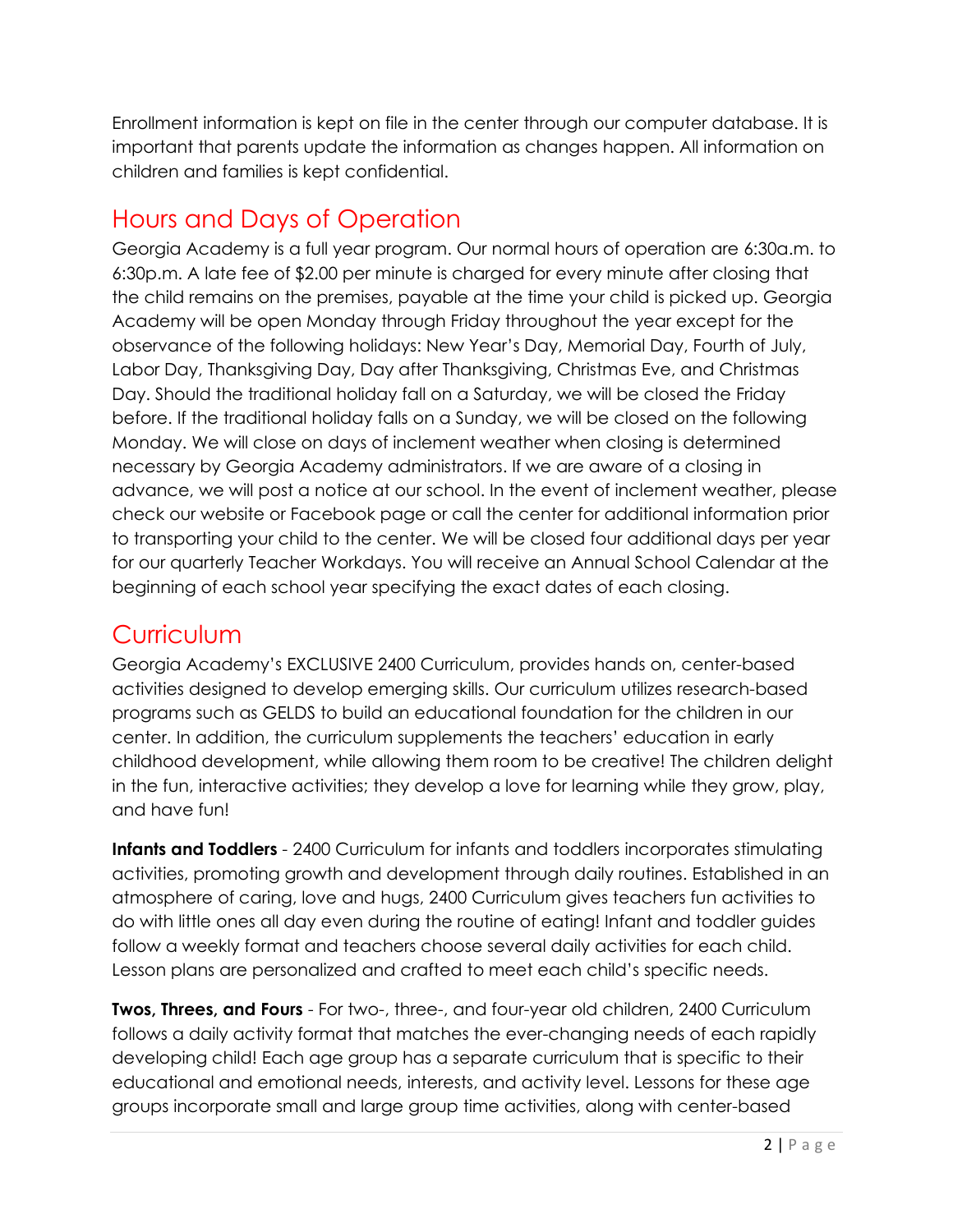Enrollment information is kept on file in the center through our computer database. It is important that parents update the information as changes happen. All information on children and families is kept confidential.

## <span id="page-3-0"></span>Hours and Days of Operation

Georgia Academy is a full year program. Our normal hours of operation are 6:30a.m. to 6:30p.m. A late fee of \$2.00 per minute is charged for every minute after closing that the child remains on the premises, payable at the time your child is picked up. Georgia Academy will be open Monday through Friday throughout the year except for the observance of the following holidays: New Year's Day, Memorial Day, Fourth of July, Labor Day, Thanksgiving Day, Day after Thanksgiving, Christmas Eve, and Christmas Day. Should the traditional holiday fall on a Saturday, we will be closed the Friday before. If the traditional holiday falls on a Sunday, we will be closed on the following Monday. We will close on days of inclement weather when closing is determined necessary by Georgia Academy administrators. If we are aware of a closing in advance, we will post a notice at our school. In the event of inclement weather, please check our website or Facebook page or call the center for additional information prior to transporting your child to the center. We will be closed four additional days per year for our quarterly Teacher Workdays. You will receive an Annual School Calendar at the beginning of each school year specifying the exact dates of each closing.

### <span id="page-3-1"></span>Curriculum

Georgia Academy's EXCLUSIVE 2400 Curriculum, provides hands on, center-based activities designed to develop emerging skills. Our curriculum utilizes research-based programs such as GELDS to build an educational foundation for the children in our center. In addition, the curriculum supplements the teachers' education in early childhood development, while allowing them room to be creative! The children delight in the fun, interactive activities; they develop a love for learning while they grow, play, and have fun!

**Infants and Toddlers** - 2400 Curriculum for infants and toddlers incorporates stimulating activities, promoting growth and development through daily routines. Established in an atmosphere of caring, love and hugs, 2400 Curriculum gives teachers fun activities to do with little ones all day even during the routine of eating! Infant and toddler guides follow a weekly format and teachers choose several daily activities for each child. Lesson plans are personalized and crafted to meet each child's specific needs.

**Twos, Threes, and Fours** - For two-, three-, and four-year old children, 2400 Curriculum follows a daily activity format that matches the ever-changing needs of each rapidly developing child! Each age group has a separate curriculum that is specific to their educational and emotional needs, interests, and activity level. Lessons for these age groups incorporate small and large group time activities, along with center-based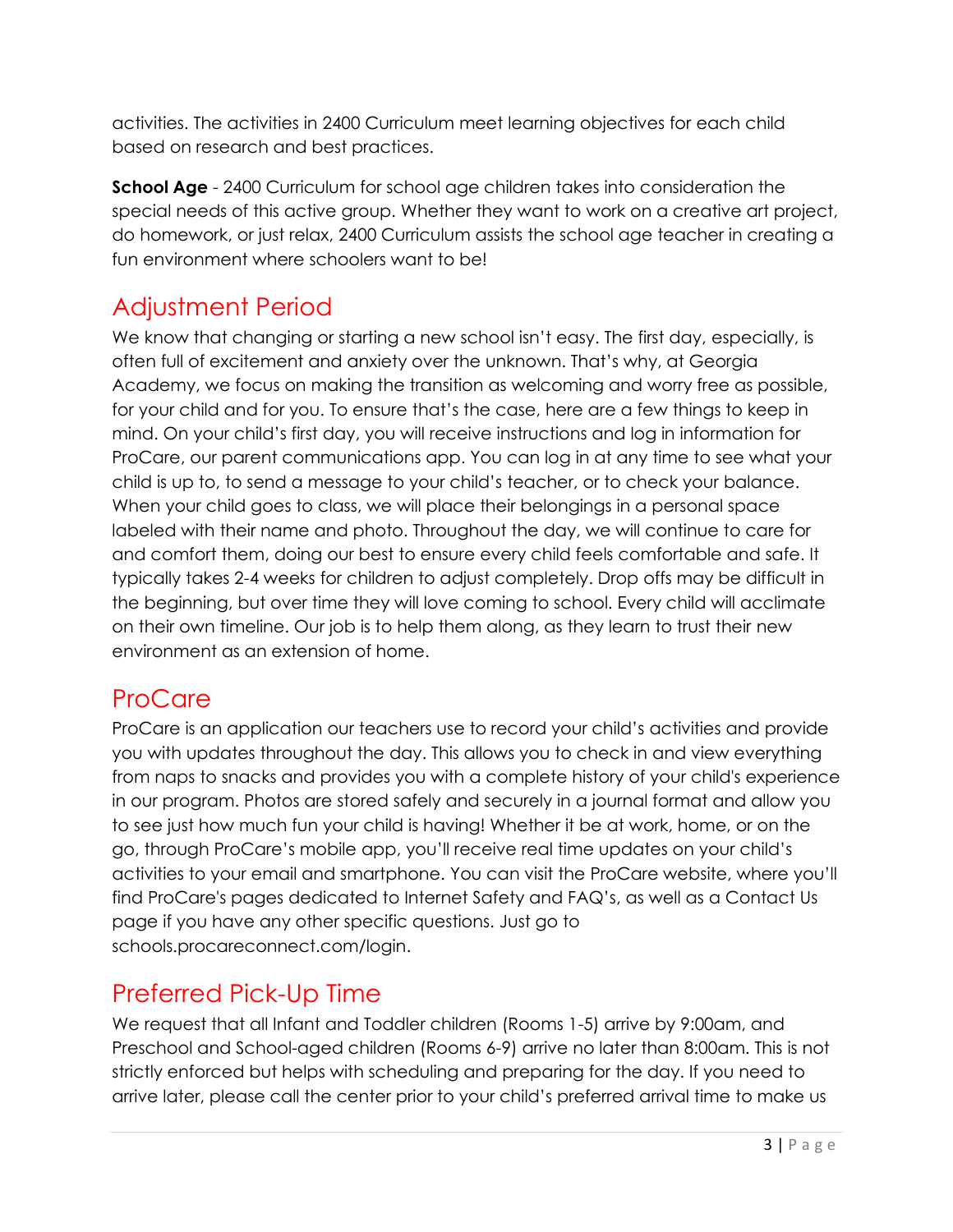activities. The activities in 2400 Curriculum meet learning objectives for each child based on research and best practices.

**School Age** - 2400 Curriculum for school age children takes into consideration the special needs of this active group. Whether they want to work on a creative art project, do homework, or just relax, 2400 Curriculum assists the school age teacher in creating a fun environment where schoolers want to be!

## <span id="page-4-0"></span>Adjustment Period

We know that changing or starting a new school isn't easy. The first day, especially, is often full of excitement and anxiety over the unknown. That's why, at Georgia Academy, we focus on making the transition as welcoming and worry free as possible, for your child and for you. To ensure that's the case, here are a few things to keep in mind. On your child's first day, you will receive instructions and log in information for ProCare, our parent communications app. You can log in at any time to see what your child is up to, to send a message to your child's teacher, or to check your balance. When your child goes to class, we will place their belongings in a personal space labeled with their name and photo. Throughout the day, we will continue to care for and comfort them, doing our best to ensure every child feels comfortable and safe. It typically takes 2-4 weeks for children to adjust completely. Drop offs may be difficult in the beginning, but over time they will love coming to school. Every child will acclimate on their own timeline. Our job is to help them along, as they learn to trust their new environment as an extension of home.

### <span id="page-4-1"></span>ProCare

ProCare is an application our teachers use to record your child's activities and provide you with updates throughout the day. This allows you to check in and view everything from naps to snacks and provides you with a complete history of your child's experience in our program. Photos are stored safely and securely in a journal format and allow you to see just how much fun your child is having! Whether it be at work, home, or on the go, through ProCare's mobile app, you'll receive real time updates on your child's activities to your email and smartphone. You can visit the ProCare website, where you'll find ProCare's pages dedicated to Internet Safety and FAQ's, as well as a Contact Us page if you have any other specific questions. Just go to schools.procareconnect.com/login.

### <span id="page-4-2"></span>Preferred Pick-Up Time

We request that all Infant and Toddler children (Rooms 1-5) arrive by 9:00am, and Preschool and School-aged children (Rooms 6-9) arrive no later than 8:00am. This is not strictly enforced but helps with scheduling and preparing for the day. If you need to arrive later, please call the center prior to your child's preferred arrival time to make us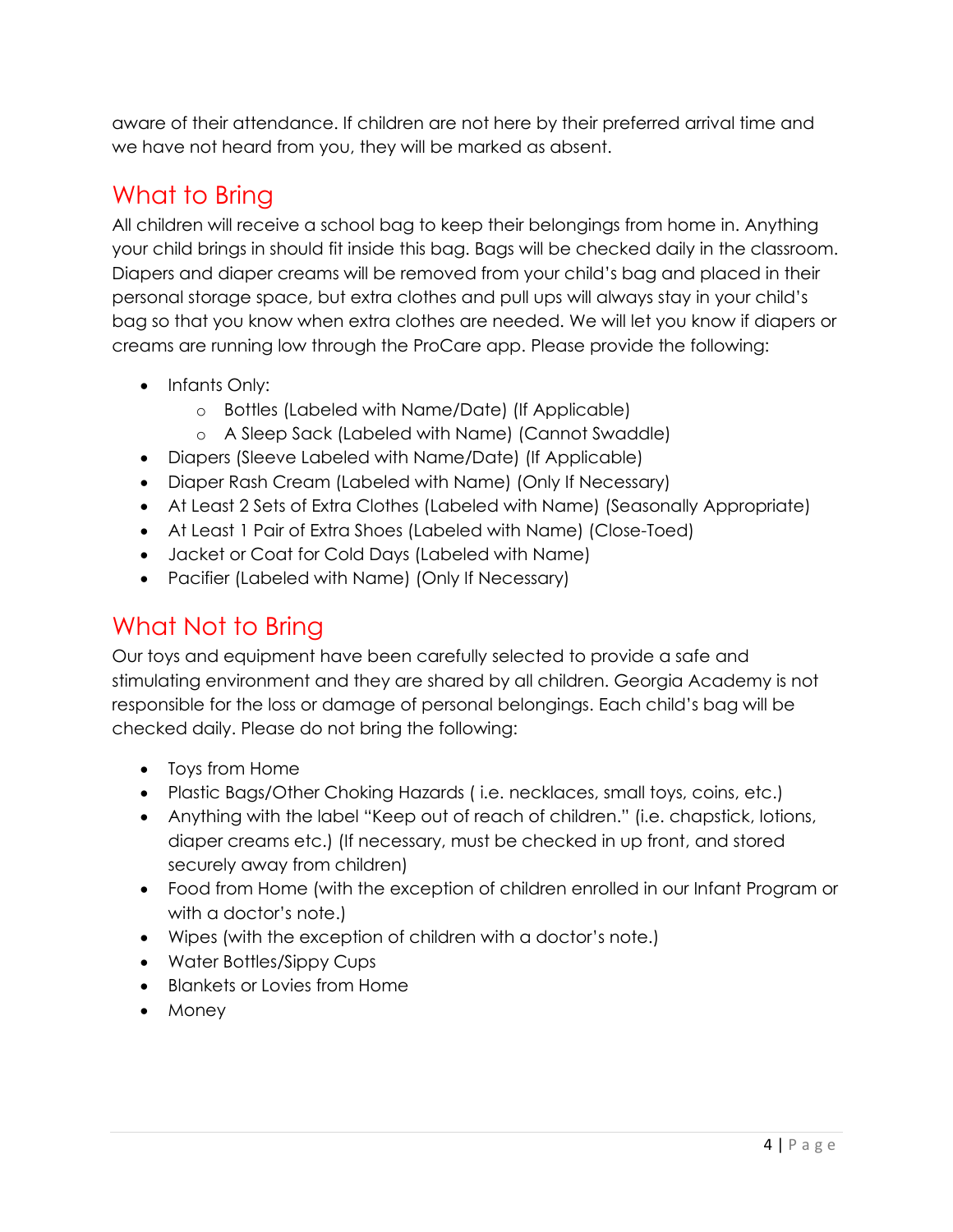aware of their attendance. If children are not here by their preferred arrival time and we have not heard from you, they will be marked as absent.

# <span id="page-5-0"></span>What to Bring

All children will receive a school bag to keep their belongings from home in. Anything your child brings in should fit inside this bag. Bags will be checked daily in the classroom. Diapers and diaper creams will be removed from your child's bag and placed in their personal storage space, but extra clothes and pull ups will always stay in your child's bag so that you know when extra clothes are needed. We will let you know if diapers or creams are running low through the ProCare app. Please provide the following:

- Infants Only:
	- o Bottles (Labeled with Name/Date) (If Applicable)
	- o A Sleep Sack (Labeled with Name) (Cannot Swaddle)
- Diapers (Sleeve Labeled with Name/Date) (If Applicable)
- Diaper Rash Cream (Labeled with Name) (Only If Necessary)
- At Least 2 Sets of Extra Clothes (Labeled with Name) (Seasonally Appropriate)
- At Least 1 Pair of Extra Shoes (Labeled with Name) (Close-Toed)
- Jacket or Coat for Cold Days (Labeled with Name)
- Pacifier (Labeled with Name) (Only If Necessary)

## <span id="page-5-1"></span>What Not to Bring

Our toys and equipment have been carefully selected to provide a safe and stimulating environment and they are shared by all children. Georgia Academy is not responsible for the loss or damage of personal belongings. Each child's bag will be checked daily. Please do not bring the following:

- Toys from Home
- Plastic Bags/Other Choking Hazards ( i.e. necklaces, small toys, coins, etc.)
- Anything with the label "Keep out of reach of children." (i.e. chapstick, lotions, diaper creams etc.) (If necessary, must be checked in up front, and stored securely away from children)
- Food from Home (with the exception of children enrolled in our Infant Program or with a doctor's note.)
- Wipes (with the exception of children with a doctor's note.)
- Water Bottles/Sippy Cups
- Blankets or Lovies from Home
- Money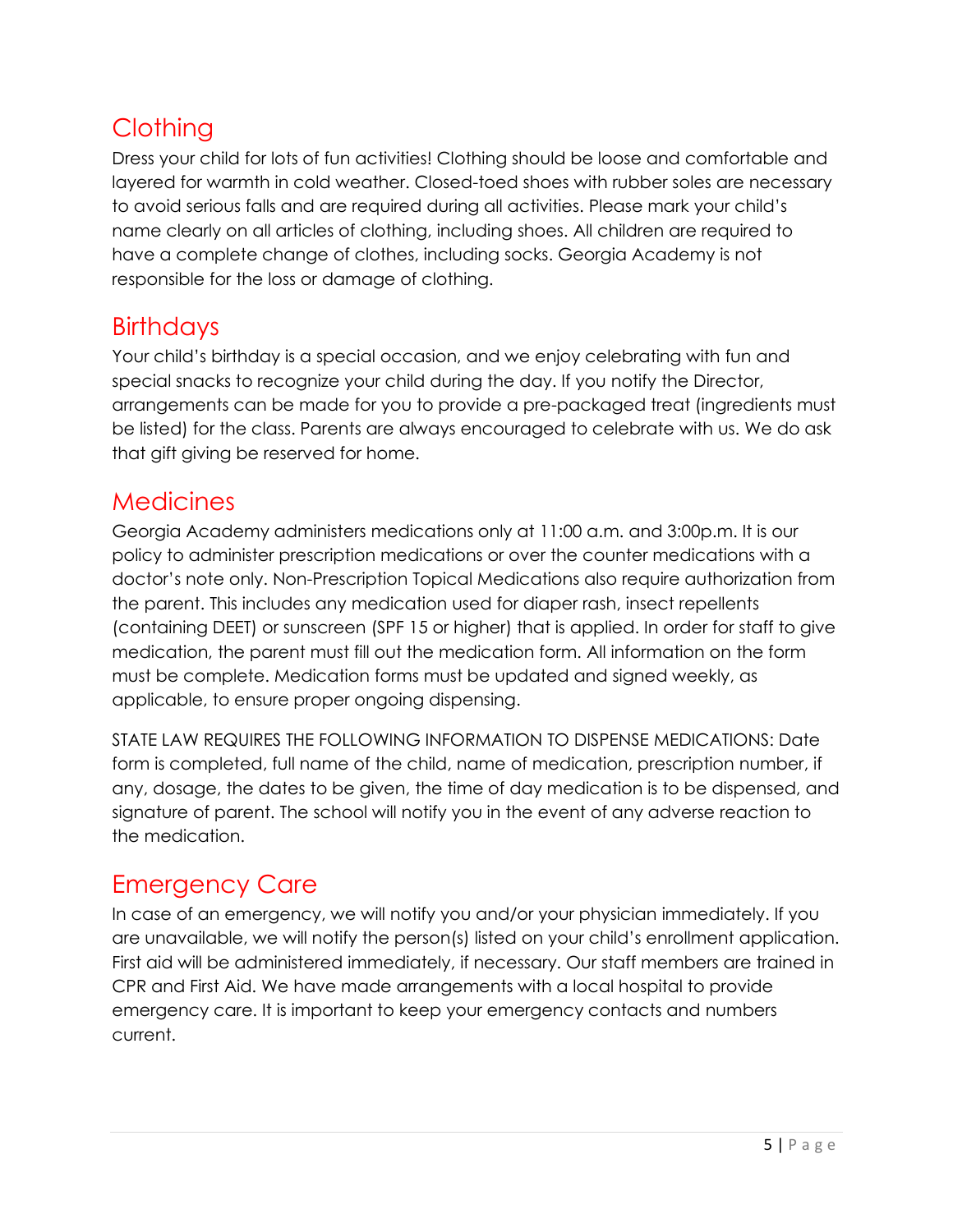## <span id="page-6-0"></span>**Clothing**

Dress your child for lots of fun activities! Clothing should be loose and comfortable and layered for warmth in cold weather. Closed-toed shoes with rubber soles are necessary to avoid serious falls and are required during all activities. Please mark your child's name clearly on all articles of clothing, including shoes. All children are required to have a complete change of clothes, including socks. Georgia Academy is not responsible for the loss or damage of clothing.

### <span id="page-6-1"></span>**Birthdays**

Your child's birthday is a special occasion, and we enjoy celebrating with fun and special snacks to recognize your child during the day. If you notify the Director, arrangements can be made for you to provide a pre-packaged treat (ingredients must be listed) for the class. Parents are always encouraged to celebrate with us. We do ask that gift giving be reserved for home.

### <span id="page-6-2"></span>**Medicines**

Georgia Academy administers medications only at 11:00 a.m. and 3:00p.m. It is our policy to administer prescription medications or over the counter medications with a doctor's note only. Non-Prescription Topical Medications also require authorization from the parent. This includes any medication used for diaper rash, insect repellents (containing DEET) or sunscreen (SPF 15 or higher) that is applied. In order for staff to give medication, the parent must fill out the medication form. All information on the form must be complete. Medication forms must be updated and signed weekly, as applicable, to ensure proper ongoing dispensing.

STATE LAW REQUIRES THE FOLLOWING INFORMATION TO DISPENSE MEDICATIONS: Date form is completed, full name of the child, name of medication, prescription number, if any, dosage, the dates to be given, the time of day medication is to be dispensed, and signature of parent. The school will notify you in the event of any adverse reaction to the medication.

### <span id="page-6-3"></span>Emergency Care

In case of an emergency, we will notify you and/or your physician immediately. If you are unavailable, we will notify the person(s) listed on your child's enrollment application. First aid will be administered immediately, if necessary. Our staff members are trained in CPR and First Aid. We have made arrangements with a local hospital to provide emergency care. It is important to keep your emergency contacts and numbers current.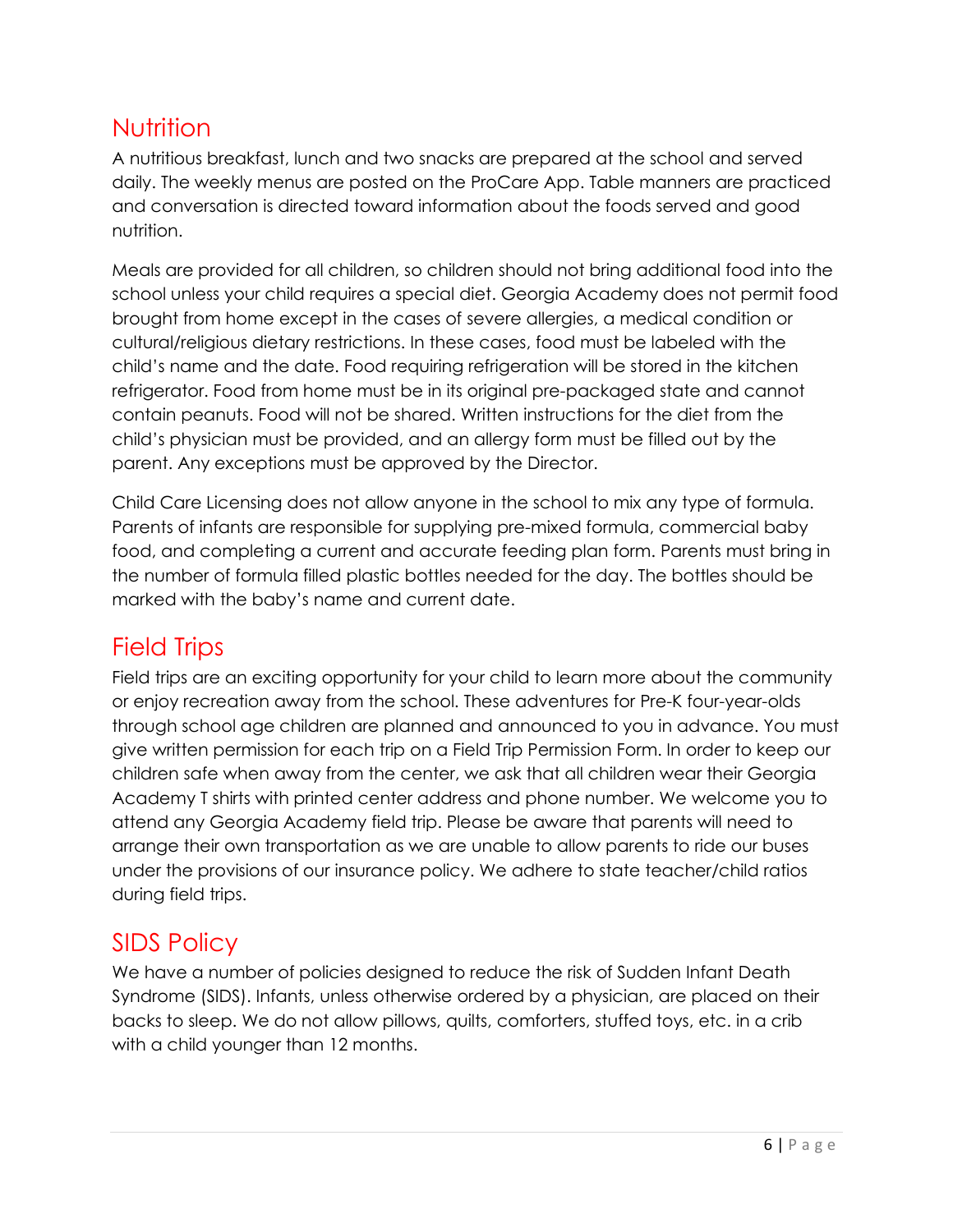### <span id="page-7-0"></span>Nutrition

A nutritious breakfast, lunch and two snacks are prepared at the school and served daily. The weekly menus are posted on the ProCare App. Table manners are practiced and conversation is directed toward information about the foods served and good nutrition.

Meals are provided for all children, so children should not bring additional food into the school unless your child requires a special diet. Georgia Academy does not permit food brought from home except in the cases of severe allergies, a medical condition or cultural/religious dietary restrictions. In these cases, food must be labeled with the child's name and the date. Food requiring refrigeration will be stored in the kitchen refrigerator. Food from home must be in its original pre-packaged state and cannot contain peanuts. Food will not be shared. Written instructions for the diet from the child's physician must be provided, and an allergy form must be filled out by the parent. Any exceptions must be approved by the Director.

Child Care Licensing does not allow anyone in the school to mix any type of formula. Parents of infants are responsible for supplying pre-mixed formula, commercial baby food, and completing a current and accurate feeding plan form. Parents must bring in the number of formula filled plastic bottles needed for the day. The bottles should be marked with the baby's name and current date.

## <span id="page-7-1"></span>Field Trips

Field trips are an exciting opportunity for your child to learn more about the community or enjoy recreation away from the school. These adventures for Pre-K four-year-olds through school age children are planned and announced to you in advance. You must give written permission for each trip on a Field Trip Permission Form. In order to keep our children safe when away from the center, we ask that all children wear their Georgia Academy T shirts with printed center address and phone number. We welcome you to attend any Georgia Academy field trip. Please be aware that parents will need to arrange their own transportation as we are unable to allow parents to ride our buses under the provisions of our insurance policy. We adhere to state teacher/child ratios during field trips.

### <span id="page-7-2"></span>SIDS Policy

We have a number of policies designed to reduce the risk of Sudden Infant Death Syndrome (SIDS). Infants, unless otherwise ordered by a physician, are placed on their backs to sleep. We do not allow pillows, quilts, comforters, stuffed toys, etc. in a crib with a child younger than 12 months.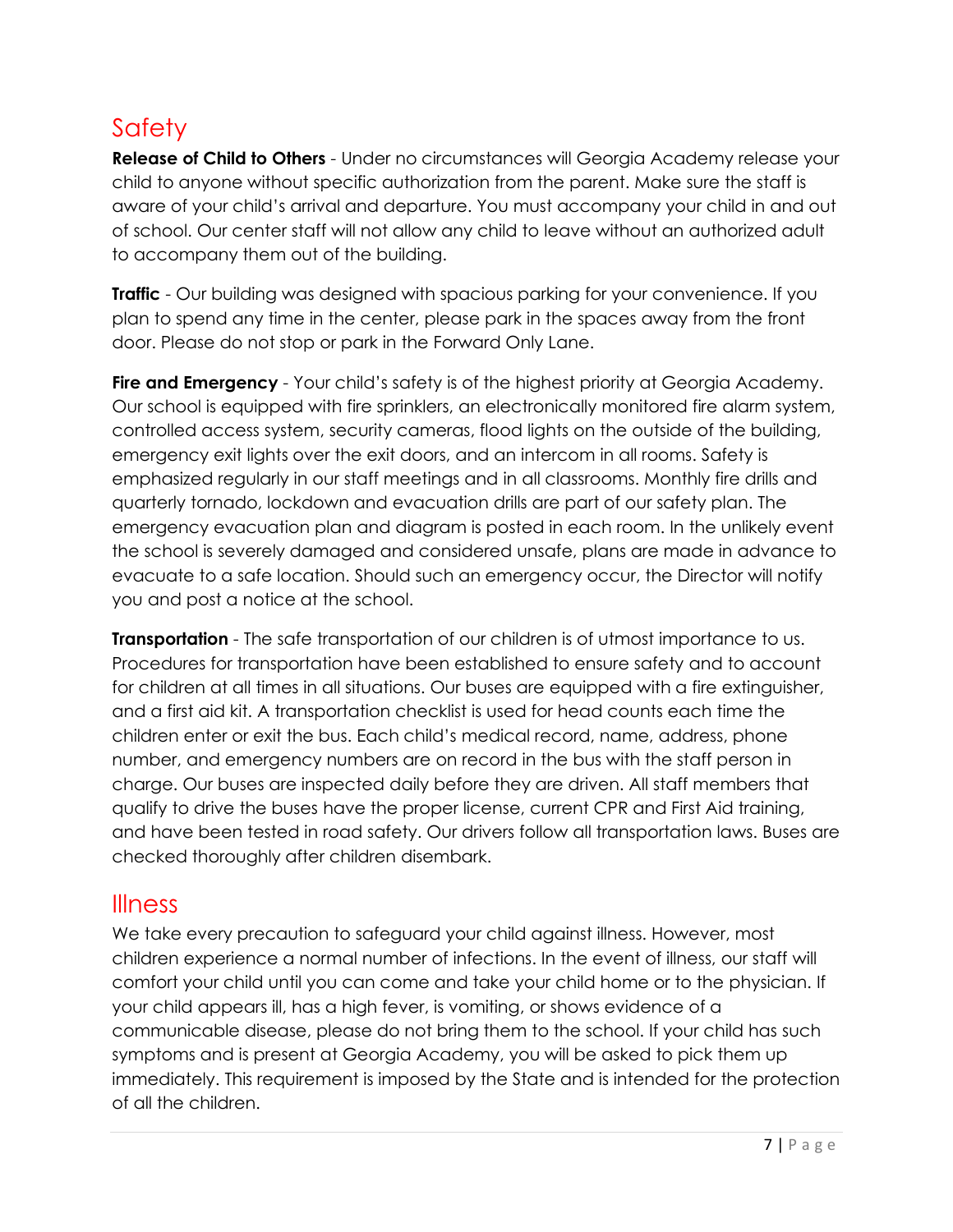# <span id="page-8-0"></span>**Safety**

**Release of Child to Others** - Under no circumstances will Georgia Academy release your child to anyone without specific authorization from the parent. Make sure the staff is aware of your child's arrival and departure. You must accompany your child in and out of school. Our center staff will not allow any child to leave without an authorized adult to accompany them out of the building.

**Traffic** - Our building was designed with spacious parking for your convenience. If you plan to spend any time in the center, please park in the spaces away from the front door. Please do not stop or park in the Forward Only Lane.

**Fire and Emergency** - Your child's safety is of the highest priority at Georgia Academy. Our school is equipped with fire sprinklers, an electronically monitored fire alarm system, controlled access system, security cameras, flood lights on the outside of the building, emergency exit lights over the exit doors, and an intercom in all rooms. Safety is emphasized regularly in our staff meetings and in all classrooms. Monthly fire drills and quarterly tornado, lockdown and evacuation drills are part of our safety plan. The emergency evacuation plan and diagram is posted in each room. In the unlikely event the school is severely damaged and considered unsafe, plans are made in advance to evacuate to a safe location. Should such an emergency occur, the Director will notify you and post a notice at the school.

**Transportation** - The safe transportation of our children is of utmost importance to us. Procedures for transportation have been established to ensure safety and to account for children at all times in all situations. Our buses are equipped with a fire extinguisher, and a first aid kit. A transportation checklist is used for head counts each time the children enter or exit the bus. Each child's medical record, name, address, phone number, and emergency numbers are on record in the bus with the staff person in charge. Our buses are inspected daily before they are driven. All staff members that qualify to drive the buses have the proper license, current CPR and First Aid training, and have been tested in road safety. Our drivers follow all transportation laws. Buses are checked thoroughly after children disembark.

### <span id="page-8-1"></span>Illness

We take every precaution to safeguard your child against illness. However, most children experience a normal number of infections. In the event of illness, our staff will comfort your child until you can come and take your child home or to the physician. If your child appears ill, has a high fever, is vomiting, or shows evidence of a communicable disease, please do not bring them to the school. If your child has such symptoms and is present at Georgia Academy, you will be asked to pick them up immediately. This requirement is imposed by the State and is intended for the protection of all the children.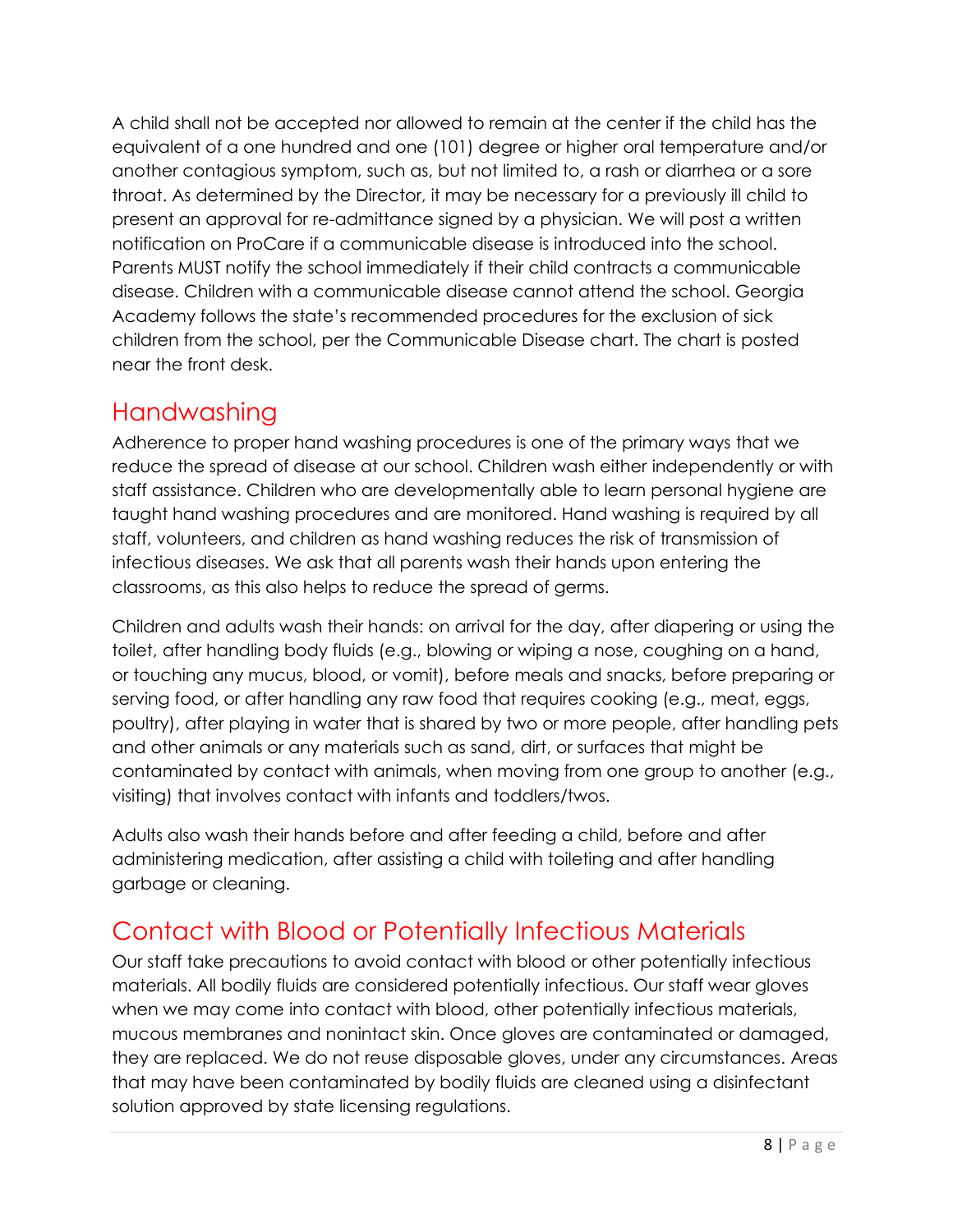A child shall not be accepted nor allowed to remain at the center if the child has the equivalent of a one hundred and one (101) degree or higher oral temperature and/or another contagious symptom, such as, but not limited to, a rash or diarrhea or a sore throat. As determined by the Director, it may be necessary for a previously ill child to present an approval for re-admittance signed by a physician. We will post a written notification on ProCare if a communicable disease is introduced into the school. Parents MUST notify the school immediately if their child contracts a communicable disease. Children with a communicable disease cannot attend the school. Georgia Academy follows the state's recommended procedures for the exclusion of sick children from the school, per the Communicable Disease chart. The chart is posted near the front desk.

### <span id="page-9-0"></span>**Handwashing**

Adherence to proper hand washing procedures is one of the primary ways that we reduce the spread of disease at our school. Children wash either independently or with staff assistance. Children who are developmentally able to learn personal hygiene are taught hand washing procedures and are monitored. Hand washing is required by all staff, volunteers, and children as hand washing reduces the risk of transmission of infectious diseases. We ask that all parents wash their hands upon entering the classrooms, as this also helps to reduce the spread of germs.

Children and adults wash their hands: on arrival for the day, after diapering or using the toilet, after handling body fluids (e.g., blowing or wiping a nose, coughing on a hand, or touching any mucus, blood, or vomit), before meals and snacks, before preparing or serving food, or after handling any raw food that requires cooking (e.g., meat, eggs, poultry), after playing in water that is shared by two or more people, after handling pets and other animals or any materials such as sand, dirt, or surfaces that might be contaminated by contact with animals, when moving from one group to another (e.g., visiting) that involves contact with infants and toddlers/twos.

Adults also wash their hands before and after feeding a child, before and after administering medication, after assisting a child with toileting and after handling garbage or cleaning.

## <span id="page-9-1"></span>Contact with Blood or Potentially Infectious Materials

Our staff take precautions to avoid contact with blood or other potentially infectious materials. All bodily fluids are considered potentially infectious. Our staff wear gloves when we may come into contact with blood, other potentially infectious materials, mucous membranes and nonintact skin. Once gloves are contaminated or damaged, they are replaced. We do not reuse disposable gloves, under any circumstances. Areas that may have been contaminated by bodily fluids are cleaned using a disinfectant solution approved by state licensing regulations.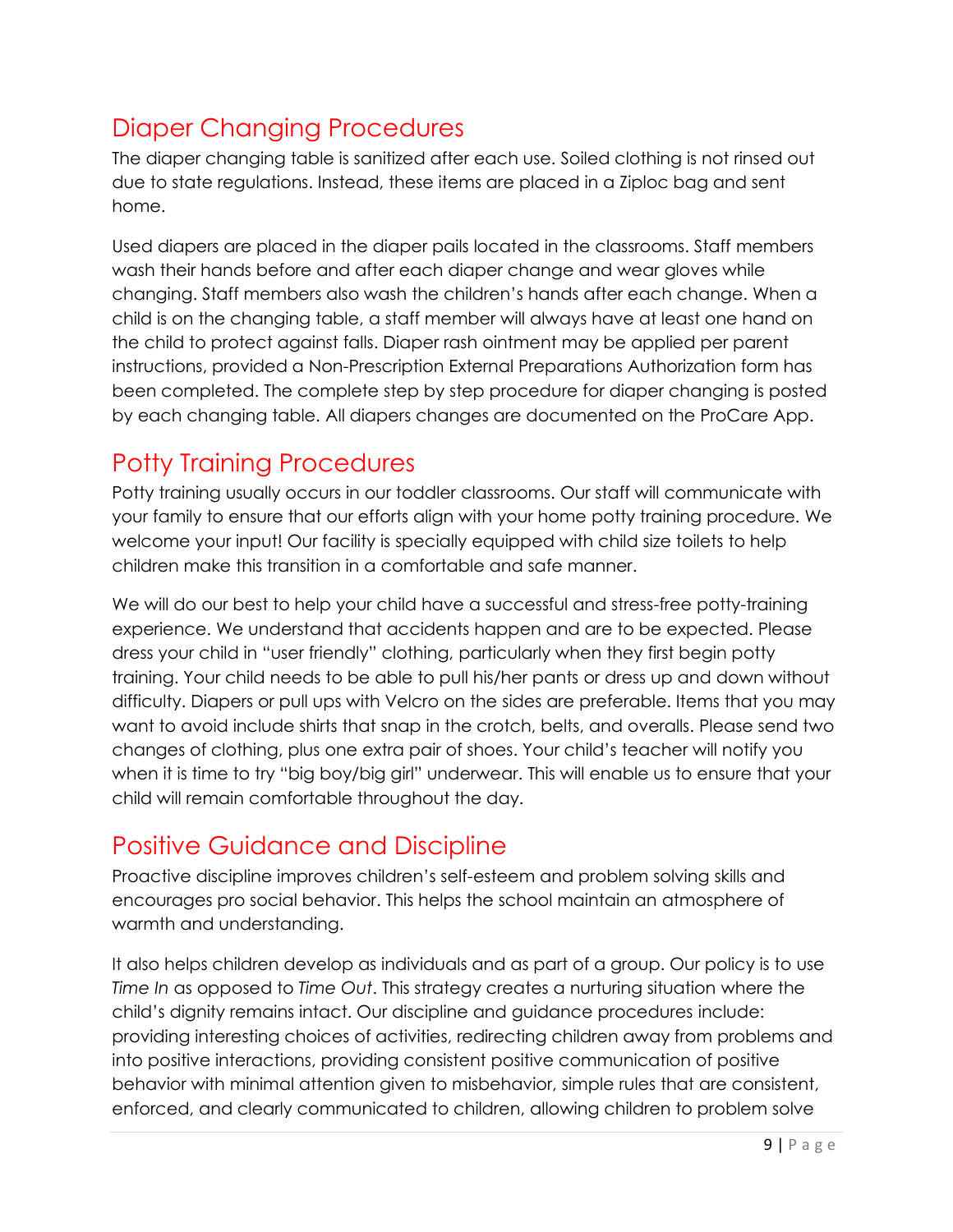## <span id="page-10-0"></span>Diaper Changing Procedures

The diaper changing table is sanitized after each use. Soiled clothing is not rinsed out due to state regulations. Instead, these items are placed in a Ziploc bag and sent home.

Used diapers are placed in the diaper pails located in the classrooms. Staff members wash their hands before and after each diaper change and wear gloves while changing. Staff members also wash the children's hands after each change. When a child is on the changing table, a staff member will always have at least one hand on the child to protect against falls. Diaper rash ointment may be applied per parent instructions, provided a Non-Prescription External Preparations Authorization form has been completed. The complete step by step procedure for diaper changing is posted by each changing table. All diapers changes are documented on the ProCare App.

# <span id="page-10-1"></span>Potty Training Procedures

Potty training usually occurs in our toddler classrooms. Our staff will communicate with your family to ensure that our efforts align with your home potty training procedure. We welcome your input! Our facility is specially equipped with child size toilets to help children make this transition in a comfortable and safe manner.

We will do our best to help your child have a successful and stress-free potty-training experience. We understand that accidents happen and are to be expected. Please dress your child in "user friendly" clothing, particularly when they first begin potty training. Your child needs to be able to pull his/her pants or dress up and down without difficulty. Diapers or pull ups with Velcro on the sides are preferable. Items that you may want to avoid include shirts that snap in the crotch, belts, and overalls. Please send two changes of clothing, plus one extra pair of shoes. Your child's teacher will notify you when it is time to try "big boy/big girl" underwear. This will enable us to ensure that your child will remain comfortable throughout the day.

# <span id="page-10-2"></span>Positive Guidance and Discipline

Proactive discipline improves children's self-esteem and problem solving skills and encourages pro social behavior. This helps the school maintain an atmosphere of warmth and understanding.

It also helps children develop as individuals and as part of a group. Our policy is to use *Time In* as opposed to *Time Out*. This strategy creates a nurturing situation where the child's dignity remains intact. Our discipline and guidance procedures include: providing interesting choices of activities, redirecting children away from problems and into positive interactions, providing consistent positive communication of positive behavior with minimal attention given to misbehavior, simple rules that are consistent, enforced, and clearly communicated to children, allowing children to problem solve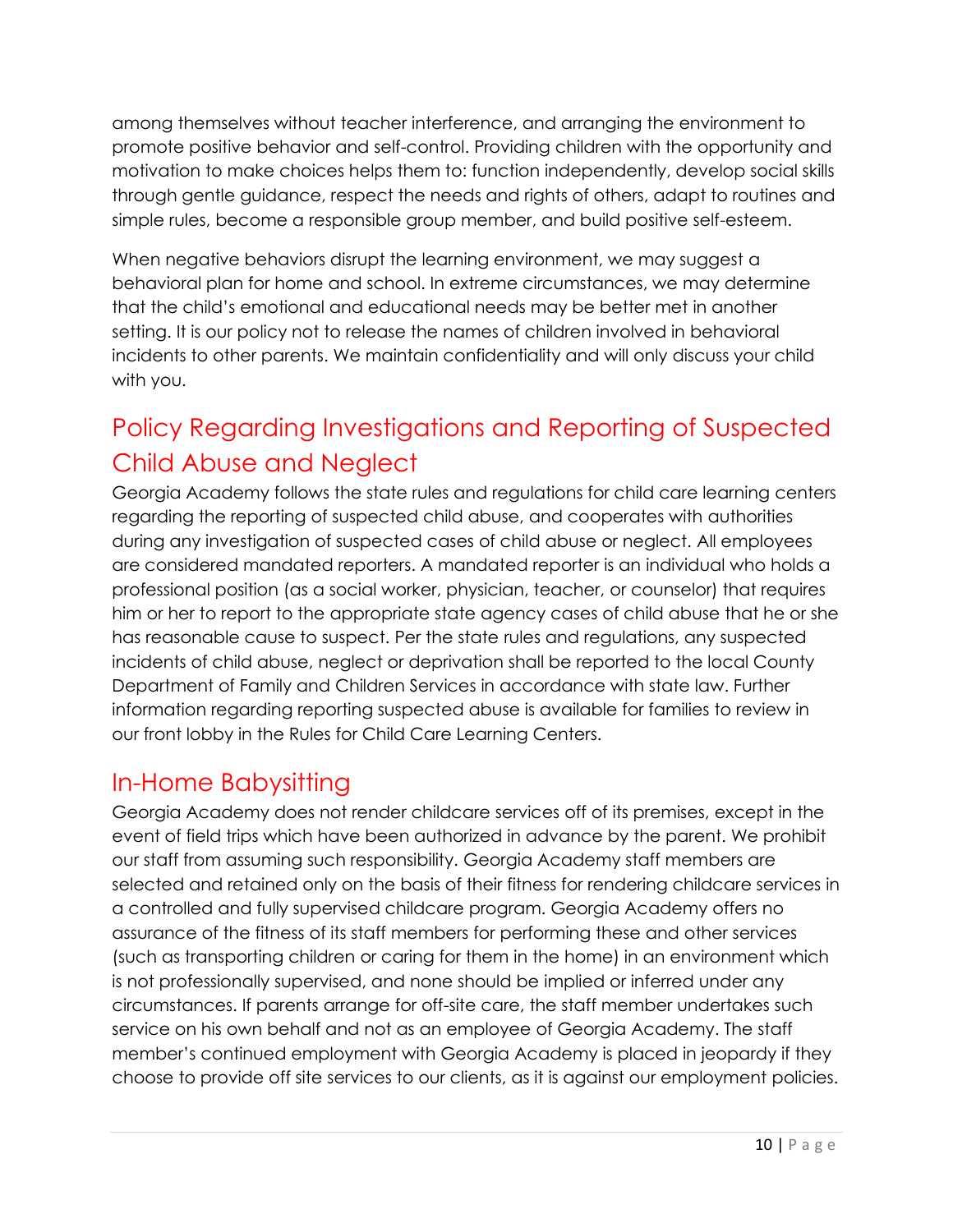among themselves without teacher interference, and arranging the environment to promote positive behavior and self-control. Providing children with the opportunity and motivation to make choices helps them to: function independently, develop social skills through gentle guidance, respect the needs and rights of others, adapt to routines and simple rules, become a responsible group member, and build positive self-esteem.

When negative behaviors disrupt the learning environment, we may suggest a behavioral plan for home and school. In extreme circumstances, we may determine that the child's emotional and educational needs may be better met in another setting. It is our policy not to release the names of children involved in behavioral incidents to other parents. We maintain confidentiality and will only discuss your child with you.

# <span id="page-11-0"></span>Policy Regarding Investigations and Reporting of Suspected Child Abuse and Neglect

Georgia Academy follows the state rules and regulations for child care learning centers regarding the reporting of suspected child abuse, and cooperates with authorities during any investigation of suspected cases of child abuse or neglect. All employees are considered mandated reporters. A mandated reporter is an individual who holds a professional position (as a social worker, physician, teacher, or counselor) that requires him or her to report to the appropriate state agency cases of child abuse that he or she has reasonable cause to suspect. Per the state rules and regulations, any suspected incidents of child abuse, neglect or deprivation shall be reported to the local County Department of Family and Children Services in accordance with state law. Further information regarding reporting suspected abuse is available for families to review in our front lobby in the Rules for Child Care Learning Centers.

### <span id="page-11-1"></span>In-Home Babysitting

Georgia Academy does not render childcare services off of its premises, except in the event of field trips which have been authorized in advance by the parent. We prohibit our staff from assuming such responsibility. Georgia Academy staff members are selected and retained only on the basis of their fitness for rendering childcare services in a controlled and fully supervised childcare program. Georgia Academy offers no assurance of the fitness of its staff members for performing these and other services (such as transporting children or caring for them in the home) in an environment which is not professionally supervised, and none should be implied or inferred under any circumstances. If parents arrange for off-site care, the staff member undertakes such service on his own behalf and not as an employee of Georgia Academy. The staff member's continued employment with Georgia Academy is placed in jeopardy if they choose to provide off site services to our clients, as it is against our employment policies.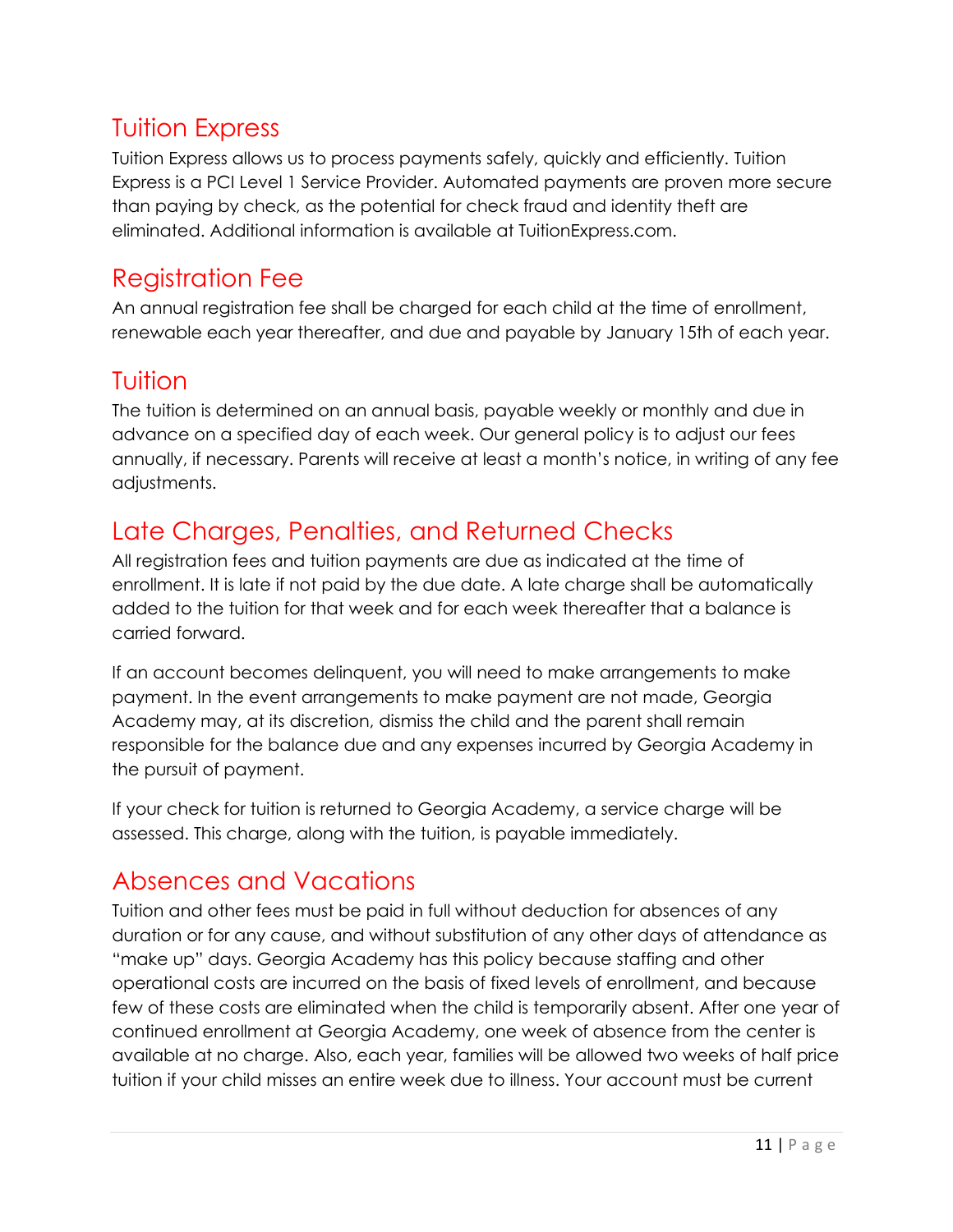## <span id="page-12-0"></span>Tuition Express

Tuition Express allows us to process payments safely, quickly and efficiently. Tuition Express is a PCI Level 1 Service Provider. Automated payments are proven more secure than paying by check, as the potential for check fraud and identity theft are eliminated. Additional information is available at TuitionExpress.com.

## <span id="page-12-1"></span>Registration Fee

An annual registration fee shall be charged for each child at the time of enrollment, renewable each year thereafter, and due and payable by January 15th of each year.

### <span id="page-12-2"></span>Tuition

The tuition is determined on an annual basis, payable weekly or monthly and due in advance on a specified day of each week. Our general policy is to adjust our fees annually, if necessary. Parents will receive at least a month's notice, in writing of any fee adjustments.

# <span id="page-12-3"></span>Late Charges, Penalties, and Returned Checks

All registration fees and tuition payments are due as indicated at the time of enrollment. It is late if not paid by the due date. A late charge shall be automatically added to the tuition for that week and for each week thereafter that a balance is carried forward.

If an account becomes delinquent, you will need to make arrangements to make payment. In the event arrangements to make payment are not made, Georgia Academy may, at its discretion, dismiss the child and the parent shall remain responsible for the balance due and any expenses incurred by Georgia Academy in the pursuit of payment.

If your check for tuition is returned to Georgia Academy, a service charge will be assessed. This charge, along with the tuition, is payable immediately.

### <span id="page-12-4"></span>Absences and Vacations

Tuition and other fees must be paid in full without deduction for absences of any duration or for any cause, and without substitution of any other days of attendance as "make up" days. Georgia Academy has this policy because staffing and other operational costs are incurred on the basis of fixed levels of enrollment, and because few of these costs are eliminated when the child is temporarily absent. After one year of continued enrollment at Georgia Academy, one week of absence from the center is available at no charge. Also, each year, families will be allowed two weeks of half price tuition if your child misses an entire week due to illness. Your account must be current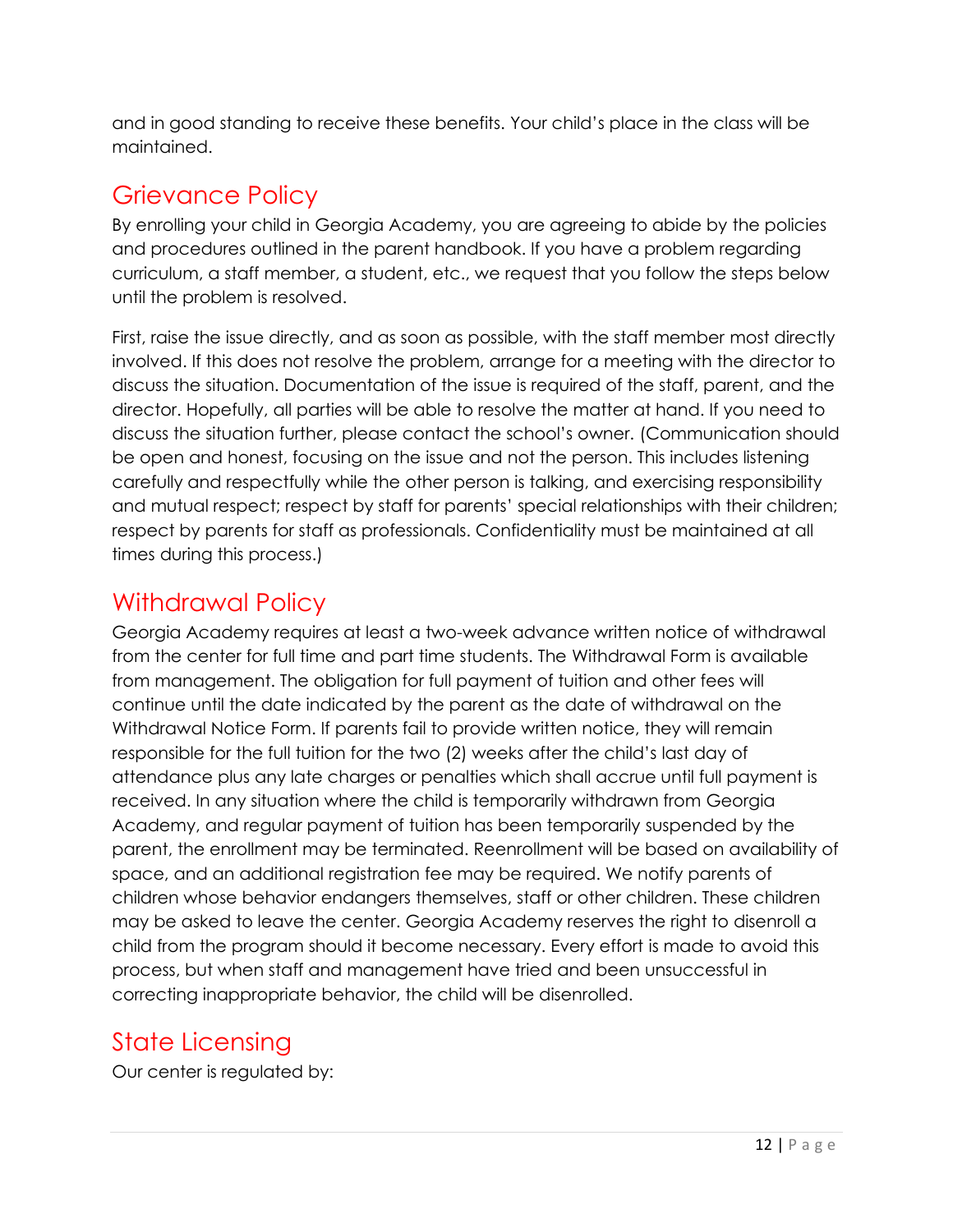and in good standing to receive these benefits. Your child's place in the class will be maintained.

## <span id="page-13-0"></span>Grievance Policy

By enrolling your child in Georgia Academy, you are agreeing to abide by the policies and procedures outlined in the parent handbook. If you have a problem regarding curriculum, a staff member, a student, etc., we request that you follow the steps below until the problem is resolved.

First, raise the issue directly, and as soon as possible, with the staff member most directly involved. If this does not resolve the problem, arrange for a meeting with the director to discuss the situation. Documentation of the issue is required of the staff, parent, and the director. Hopefully, all parties will be able to resolve the matter at hand. If you need to discuss the situation further, please contact the school's owner. (Communication should be open and honest, focusing on the issue and not the person. This includes listening carefully and respectfully while the other person is talking, and exercising responsibility and mutual respect; respect by staff for parents' special relationships with their children; respect by parents for staff as professionals. Confidentiality must be maintained at all times during this process.)

## <span id="page-13-1"></span>Withdrawal Policy

Georgia Academy requires at least a two-week advance written notice of withdrawal from the center for full time and part time students. The Withdrawal Form is available from management. The obligation for full payment of tuition and other fees will continue until the date indicated by the parent as the date of withdrawal on the Withdrawal Notice Form. If parents fail to provide written notice, they will remain responsible for the full tuition for the two (2) weeks after the child's last day of attendance plus any late charges or penalties which shall accrue until full payment is received. In any situation where the child is temporarily withdrawn from Georgia Academy, and regular payment of tuition has been temporarily suspended by the parent, the enrollment may be terminated. Reenrollment will be based on availability of space, and an additional registration fee may be required. We notify parents of children whose behavior endangers themselves, staff or other children. These children may be asked to leave the center. Georgia Academy reserves the right to disenroll a child from the program should it become necessary. Every effort is made to avoid this process, but when staff and management have tried and been unsuccessful in correcting inappropriate behavior, the child will be disenrolled.

# <span id="page-13-2"></span>State Licensing

Our center is regulated by: